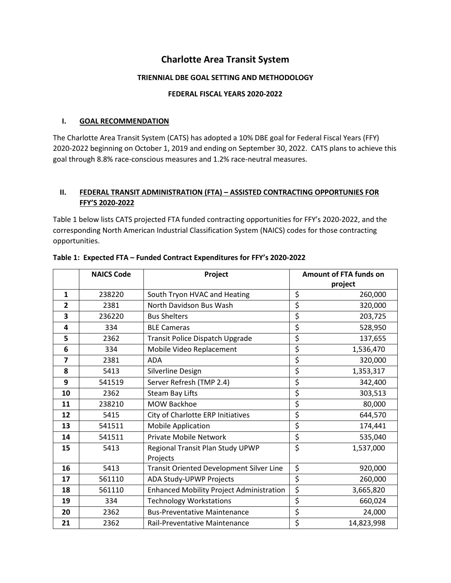# **Charlotte Area Transit System**

# **TRIENNIAL DBE GOAL SETTING AND METHODOLOGY**

# **FEDERAL FISCAL YEARS 2020-2022**

# **I. GOAL RECOMMENDATION**

The Charlotte Area Transit System (CATS) has adopted a 10% DBE goal for Federal Fiscal Years (FFY) 2020-2022 beginning on October 1, 2019 and ending on September 30, 2022. CATS plans to achieve this goal through 8.8% race-conscious measures and 1.2% race-neutral measures.

# **II. FEDERAL TRANSIT ADMINISTRATION (FTA) – ASSISTED CONTRACTING OPPORTUNIES FOR FFY'S 2020-2022**

Table 1 below lists CATS projected FTA funded contracting opportunities for FFY's 2020-2022, and the corresponding North American Industrial Classification System (NAICS) codes for those contracting opportunities.

|                | <b>NAICS Code</b> | Project                                         | Amount of FTA funds on |  |
|----------------|-------------------|-------------------------------------------------|------------------------|--|
|                |                   |                                                 | project                |  |
| $\mathbf{1}$   | 238220            | South Tryon HVAC and Heating                    | \$<br>260,000          |  |
| $\overline{2}$ | 2381              | North Davidson Bus Wash                         | \$<br>320,000          |  |
| 3              | 236220            | <b>Bus Shelters</b>                             | \$<br>203,725          |  |
| 4              | 334               | <b>BLE Cameras</b>                              | \$<br>528,950          |  |
| 5              | 2362              | Transit Police Dispatch Upgrade                 | \$<br>137,655          |  |
| 6              | 334               | Mobile Video Replacement                        | \$<br>1,536,470        |  |
| $\overline{7}$ | 2381              | <b>ADA</b>                                      | \$<br>320,000          |  |
| 8              | 5413              | Silverline Design                               | \$<br>1,353,317        |  |
| 9              | 541519            | Server Refresh (TMP 2.4)                        | \$<br>342,400          |  |
| 10             | 2362              | <b>Steam Bay Lifts</b>                          | \$<br>303,513          |  |
| 11             | 238210            | <b>MOW Backhoe</b>                              | \$<br>80,000           |  |
| 12             | 5415              | City of Charlotte ERP Initiatives               | \$<br>644,570          |  |
| 13             | 541511            | <b>Mobile Application</b>                       | \$<br>174,441          |  |
| 14             | 541511            | <b>Private Mobile Network</b>                   | \$<br>535,040          |  |
| 15             | 5413              | Regional Transit Plan Study UPWP                | \$<br>1,537,000        |  |
| 16             | 5413              | Projects                                        | \$<br>920,000          |  |
|                |                   | <b>Transit Oriented Development Silver Line</b> |                        |  |
| 17             | 561110            | ADA Study-UPWP Projects                         | \$<br>260,000          |  |
| 18             | 561110            | <b>Enhanced Mobility Project Administration</b> | \$<br>3,665,820        |  |
| 19             | 334               | <b>Technology Workstations</b>                  | \$<br>660,024          |  |
| 20             | 2362              | <b>Bus-Preventative Maintenance</b>             | \$<br>24,000           |  |
| 21             | 2362              | Rail-Preventative Maintenance                   | \$<br>14,823,998       |  |

### **Table 1: Expected FTA – Funded Contract Expenditures for FFY's 2020-2022**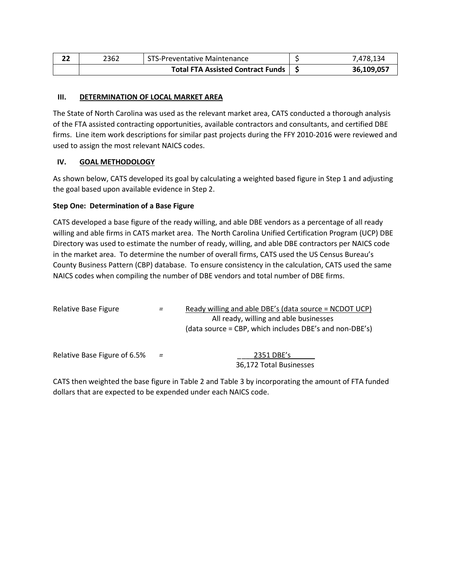| 2362 | STS-Preventative Maintenance           |  | 7,478,134  |
|------|----------------------------------------|--|------------|
|      | Total FTA Assisted Contract Funds   \$ |  | 36,109,057 |

### **III. DETERMINATION OF LOCAL MARKET AREA**

The State of North Carolina was used as the relevant market area, CATS conducted a thorough analysis of the FTA assisted contracting opportunities, available contractors and consultants, and certified DBE firms. Line item work descriptions for similar past projects during the FFY 2010-2016 were reviewed and used to assign the most relevant NAICS codes.

# **IV. GOAL METHODOLOGY**

As shown below, CATS developed its goal by calculating a weighted based figure in Step 1 and adjusting the goal based upon available evidence in Step 2.

### **Step One: Determination of a Base Figure**

CATS developed a base figure of the ready willing, and able DBE vendors as a percentage of all ready willing and able firms in CATS market area. The North Carolina Unified Certification Program (UCP) DBE Directory was used to estimate the number of ready, willing, and able DBE contractors per NAICS code in the market area. To determine the number of overall firms, CATS used the US Census Bureau's County Business Pattern (CBP) database. To ensure consistency in the calculation, CATS used the same NAICS codes when compiling the number of DBE vendors and total number of DBE firms.

| Relative Base Figure         | $=$ | Ready willing and able DBE's (data source = NCDOT UCP)<br>All ready, willing and able businesses<br>(data source = CBP, which includes DBE's and non-DBE's) |
|------------------------------|-----|-------------------------------------------------------------------------------------------------------------------------------------------------------------|
| Relative Base Figure of 6.5% | $=$ | 2351 DBE's<br>36,172 Total Businesses                                                                                                                       |

CATS then weighted the base figure in Table 2 and Table 3 by incorporating the amount of FTA funded dollars that are expected to be expended under each NAICS code.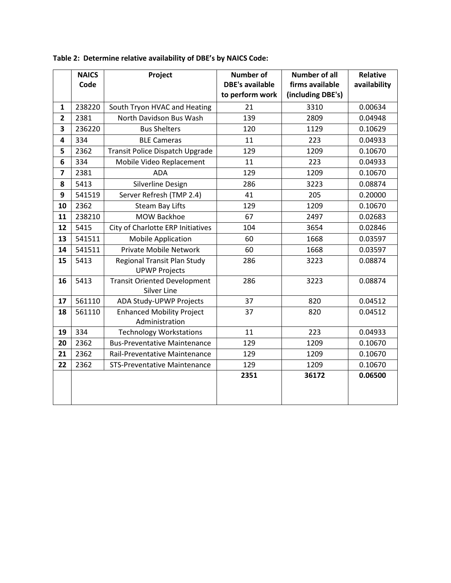|                         | <b>NAICS</b><br>Code | Project                                                    | <b>Number of</b><br><b>DBE's available</b><br>to perform work | <b>Number of all</b><br>firms available<br>(including DBE's) | <b>Relative</b><br>availability |
|-------------------------|----------------------|------------------------------------------------------------|---------------------------------------------------------------|--------------------------------------------------------------|---------------------------------|
| $\mathbf{1}$            | 238220               | South Tryon HVAC and Heating                               | 21                                                            | 3310                                                         | 0.00634                         |
| $\overline{\mathbf{2}}$ |                      | North Davidson Bus Wash                                    | 139                                                           |                                                              |                                 |
|                         | 2381                 |                                                            |                                                               | 2809                                                         | 0.04948                         |
| 3                       | 236220               | <b>Bus Shelters</b>                                        | 120                                                           | 1129                                                         | 0.10629                         |
| 4                       | 334                  | <b>BLE Cameras</b>                                         | 11                                                            | 223                                                          | 0.04933                         |
| 5                       | 2362                 | Transit Police Dispatch Upgrade                            | 129                                                           | 1209                                                         | 0.10670                         |
| 6                       | 334                  | Mobile Video Replacement                                   | 11                                                            | 223                                                          | 0.04933                         |
| 7                       | 2381                 | <b>ADA</b>                                                 | 129                                                           | 1209                                                         | 0.10670                         |
| 8                       | 5413                 | Silverline Design                                          | 286                                                           | 3223                                                         | 0.08874                         |
| 9                       | 541519               | Server Refresh (TMP 2.4)                                   | 41                                                            | 205                                                          | 0.20000                         |
| 10                      | 2362                 | <b>Steam Bay Lifts</b>                                     | 129                                                           | 1209                                                         | 0.10670                         |
| 11                      | 238210               | <b>MOW Backhoe</b>                                         | 67                                                            | 2497                                                         | 0.02683                         |
| 12                      | 5415                 | City of Charlotte ERP Initiatives                          | 104                                                           | 3654                                                         | 0.02846                         |
| 13                      | 541511               | <b>Mobile Application</b>                                  | 60                                                            | 1668                                                         | 0.03597                         |
| 14                      | 541511               | <b>Private Mobile Network</b>                              | 60                                                            | 1668                                                         | 0.03597                         |
| 15                      | 5413                 | <b>Regional Transit Plan Study</b><br><b>UPWP Projects</b> | 286                                                           | 3223                                                         | 0.08874                         |
| 16                      | 5413                 | <b>Transit Oriented Development</b><br><b>Silver Line</b>  | 286                                                           | 3223                                                         | 0.08874                         |
| 17                      | 561110               | ADA Study-UPWP Projects                                    | 37                                                            | 820                                                          | 0.04512                         |
| 18                      | 561110               | <b>Enhanced Mobility Project</b><br>Administration         | 37                                                            | 820                                                          | 0.04512                         |
| 19                      | 334                  | <b>Technology Workstations</b>                             | 11                                                            | 223                                                          | 0.04933                         |
| 20                      | 2362                 | <b>Bus-Preventative Maintenance</b>                        | 129                                                           | 1209                                                         | 0.10670                         |
| 21                      | 2362                 | Rail-Preventative Maintenance                              | 129                                                           | 1209                                                         | 0.10670                         |
| 22                      | 2362                 | <b>STS-Preventative Maintenance</b>                        | 129                                                           | 1209                                                         | 0.10670                         |
|                         |                      |                                                            | 2351                                                          | 36172                                                        | 0.06500                         |

**Table 2: Determine relative availability of DBE's by NAICS Code:**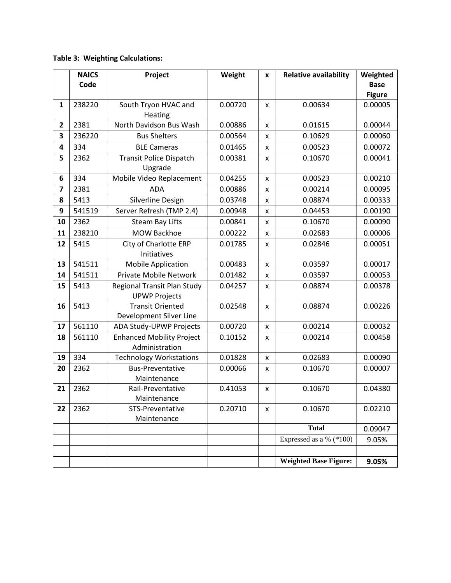# **Table 3: Weighting Calculations:**

|                         | <b>NAICS</b> | Project                                             | Weight  | $\pmb{\mathsf{x}}$ | <b>Relative availability</b> | Weighted      |
|-------------------------|--------------|-----------------------------------------------------|---------|--------------------|------------------------------|---------------|
|                         | Code         |                                                     |         |                    |                              | <b>Base</b>   |
|                         |              |                                                     |         |                    |                              | <b>Figure</b> |
| 1                       | 238220       | South Tryon HVAC and<br>Heating                     | 0.00720 | x                  | 0.00634                      | 0.00005       |
| $\mathbf{2}$            | 2381         | North Davidson Bus Wash                             | 0.00886 | $\pmb{\times}$     | 0.01615                      | 0.00044       |
| 3                       | 236220       | <b>Bus Shelters</b>                                 | 0.00564 | x                  | 0.10629                      | 0.00060       |
| 4                       | 334          | <b>BLE Cameras</b>                                  | 0.01465 | x                  | 0.00523                      | 0.00072       |
| 5                       | 2362         | <b>Transit Police Dispatch</b><br>Upgrade           | 0.00381 | x                  | 0.10670                      | 0.00041       |
| 6                       | 334          | Mobile Video Replacement                            | 0.04255 | $\pmb{\times}$     | 0.00523                      | 0.00210       |
| $\overline{\mathbf{z}}$ | 2381         | <b>ADA</b>                                          | 0.00886 | x                  | 0.00214                      | 0.00095       |
| 8                       | 5413         | Silverline Design                                   | 0.03748 | x                  | 0.08874                      | 0.00333       |
| 9                       | 541519       | Server Refresh (TMP 2.4)                            | 0.00948 | x                  | 0.04453                      | 0.00190       |
| 10                      | 2362         | <b>Steam Bay Lifts</b>                              | 0.00841 | X                  | 0.10670                      | 0.00090       |
| 11                      | 238210       | <b>MOW Backhoe</b>                                  | 0.00222 | X                  | 0.02683                      | 0.00006       |
| 12                      | 5415         | City of Charlotte ERP                               | 0.01785 | x                  | 0.02846                      | 0.00051       |
|                         |              | Initiatives                                         |         |                    |                              |               |
| 13                      | 541511       | <b>Mobile Application</b>                           | 0.00483 | $\pmb{\times}$     | 0.03597                      | 0.00017       |
| 14                      | 541511       | <b>Private Mobile Network</b>                       | 0.01482 | X                  | 0.03597                      | 0.00053       |
| 15                      | 5413         | Regional Transit Plan Study<br><b>UPWP Projects</b> | 0.04257 | x                  | 0.08874                      | 0.00378       |
| 16                      | 5413         | <b>Transit Oriented</b><br>Development Silver Line  | 0.02548 | x                  | 0.08874                      | 0.00226       |
| 17                      | 561110       | ADA Study-UPWP Projects                             | 0.00720 | $\pmb{\mathsf{x}}$ | 0.00214                      | 0.00032       |
| 18                      | 561110       | <b>Enhanced Mobility Project</b><br>Administration  | 0.10152 | x                  | 0.00214                      | 0.00458       |
| 19                      | 334          | <b>Technology Workstations</b>                      | 0.01828 | x                  | 0.02683                      | 0.00090       |
| 20                      | 2362         | <b>Bus-Preventative</b><br>Maintenance              | 0.00066 | x                  | 0.10670                      | 0.00007       |
| 21                      | 2362         | Rail-Preventative<br>Maintenance                    | 0.41053 | $\pmb{\mathsf{x}}$ | 0.10670                      | 0.04380       |
| 22                      | 2362         | STS-Preventative<br>Maintenance                     | 0.20710 | X                  | 0.10670                      | 0.02210       |
|                         |              |                                                     |         |                    | <b>Total</b>                 | 0.09047       |
|                         |              |                                                     |         |                    | Expressed as a % $(*100)$    | 9.05%         |
|                         |              |                                                     |         |                    |                              |               |
|                         |              |                                                     |         |                    | <b>Weighted Base Figure:</b> | 9.05%         |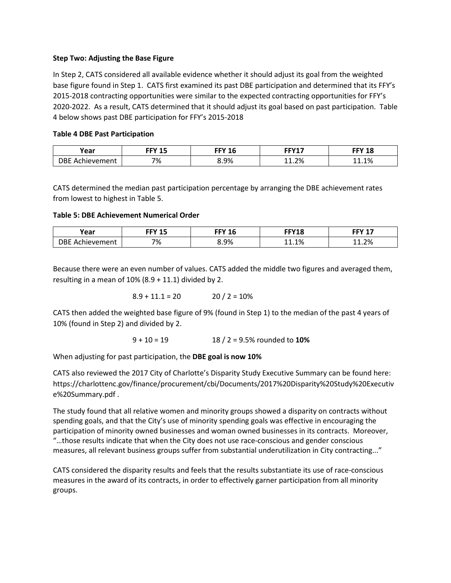### **Step Two: Adjusting the Base Figure**

In Step 2, CATS considered all available evidence whether it should adjust its goal from the weighted base figure found in Step 1. CATS first examined its past DBE participation and determined that its FFY's 2015-2018 contracting opportunities were similar to the expected contracting opportunities for FFY's 2020-2022. As a result, CATS determined that it should adjust its goal based on past participation. Table 4 below shows past DBE participation for FFY's 2015-2018

# **Table 4 DBE Past Participation**

| rear                                    | FFV 4F<br>ᅟᅩ | FFV 4C<br>-- | FFW47 | FFV 10<br>ТC |
|-----------------------------------------|--------------|--------------|-------|--------------|
| )RF<br>- -<br>hievement<br>$\mathbf{A}$ | 7%           | 8.9%         | 11.2% | $1.1\%$      |

CATS determined the median past participation percentage by arranging the DBE achievement rates from lowest to highest in Table 5.

# **Table 5: DBE Achievement Numerical Order**

| Year                       | FFV 4 F | TIVAC | FFV40 | -- 745 |
|----------------------------|---------|-------|-------|--------|
|                            | ᆦ       | 10    | ΙŌ    |        |
| )BF<br>. AChi<br>hievement | 7%      | 8.9%  | -1.1% | 1.2%   |

Because there were an even number of values. CATS added the middle two figures and averaged them, resulting in a mean of  $10\%$  (8.9 + 11.1) divided by 2.

$$
8.9 + 11.1 = 20 \qquad \qquad 20 / 2 = 10\%
$$

CATS then added the weighted base figure of 9% (found in Step 1) to the median of the past 4 years of 10% (found in Step 2) and divided by 2.

9 + 10 = 19 18 / 2 = 9.5% rounded to **10%**

When adjusting for past participation, the **DBE goal is now 10%**

CATS also reviewed the 2017 City of Charlotte's Disparity Study Executive Summary can be found here: https://charlottenc.gov/finance/procurement/cbi/Documents/2017%20Disparity%20Study%20Executiv e%20Summary.pdf .

The study found that all relative women and minority groups showed a disparity on contracts without spending goals, and that the City's use of minority spending goals was effective in encouraging the participation of minority owned businesses and woman owned businesses in its contracts. Moreover, "…those results indicate that when the City does not use race-conscious and gender conscious measures, all relevant business groups suffer from substantial underutilization in City contracting..."

CATS considered the disparity results and feels that the results substantiate its use of race-conscious measures in the award of its contracts, in order to effectively garner participation from all minority groups.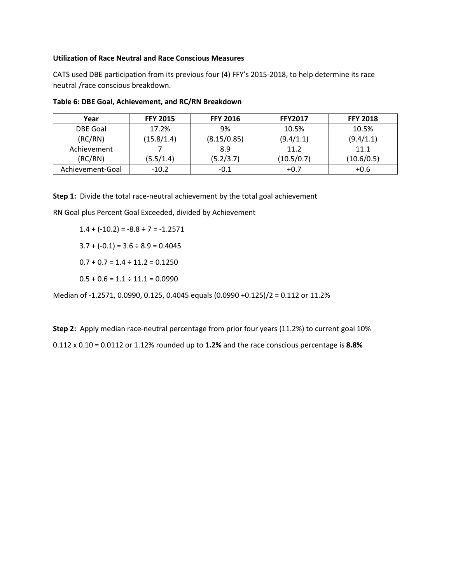#### **Utilization of Race Neutral and Race Conscious Measures**

CATS used DBE participation from its previous four (4) FFY's 2015-2018, to help determine its race neutral /race conscious breakdown.

| Year             | <b>FFY 2015</b> | <b>FFY 2016</b> | <b>FFY2017</b> | <b>FFY 2018</b> |
|------------------|-----------------|-----------------|----------------|-----------------|
| <b>DBE Goal</b>  | 17.2%           | 9%              | 10.5%          | 10.5%           |
| (RC/RN)          | (15.8/1.4)      | (8.15/0.85)     | (9.4/1.1)      | (9.4/1.1)       |
| Achievement      |                 | 8.9             | 11.2           | 11.1            |
| (RC/RN)          | (5.5/1.4)       | (5.2/3.7)       | (10.5/0.7)     | (10.6/0.5)      |
| Achievement-Goal | $-10.2$         | $-0.1$          | $+0.7$         | $+0.6$          |

| Table 6: DBE Goal, Achievement, and RC/RN Breakdown |  |
|-----------------------------------------------------|--|
|-----------------------------------------------------|--|

**Step 1:** Divide the total race-neutral achievement by the total goal achievement

RN Goal plus Percent Goal Exceeded, divided by Achievement

 $1.4 + (-10.2) = -8.8 \div 7 = -1.2571$ 

 $3.7 + (-0.1) = 3.6 \div 8.9 = 0.4045$ 

 $0.7 + 0.7 = 1.4 \div 11.2 = 0.1250$ 

 $0.5 + 0.6 = 1.1 \div 11.1 = 0.0990$ 

Median of -1.2571, 0.0990, 0.125, 0.4045 equals (0.0990 +0.125)/2 = 0.112 or 11.2%

**Step 2:** Apply median race-neutral percentage from prior four years (11.2%) to current goal 10% 0.112 x 0.10 = 0.0112 or 1.12% rounded up to **1.2%** and the race conscious percentage is **8.8%**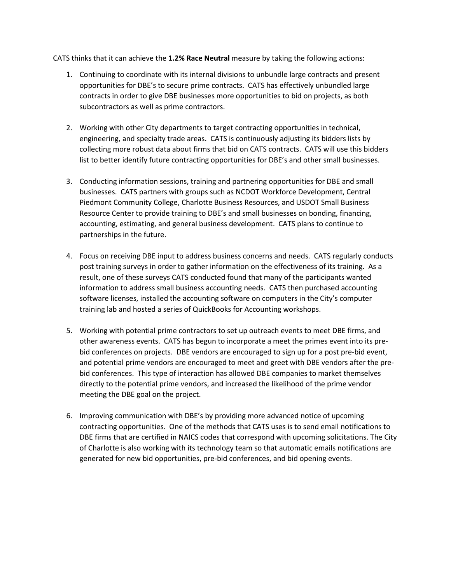CATS thinks that it can achieve the **1.2% Race Neutral** measure by taking the following actions:

- 1. Continuing to coordinate with its internal divisions to unbundle large contracts and present opportunities for DBE's to secure prime contracts. CATS has effectively unbundled large contracts in order to give DBE businesses more opportunities to bid on projects, as both subcontractors as well as prime contractors.
- 2. Working with other City departments to target contracting opportunities in technical, engineering, and specialty trade areas. CATS is continuously adjusting its bidders lists by collecting more robust data about firms that bid on CATS contracts. CATS will use this bidders list to better identify future contracting opportunities for DBE's and other small businesses.
- 3. Conducting information sessions, training and partnering opportunities for DBE and small businesses. CATS partners with groups such as NCDOT Workforce Development, Central Piedmont Community College, Charlotte Business Resources, and USDOT Small Business Resource Center to provide training to DBE's and small businesses on bonding, financing, accounting, estimating, and general business development. CATS plans to continue to partnerships in the future.
- 4. Focus on receiving DBE input to address business concerns and needs. CATS regularly conducts post training surveys in order to gather information on the effectiveness of its training. As a result, one of these surveys CATS conducted found that many of the participants wanted information to address small business accounting needs. CATS then purchased accounting software licenses, installed the accounting software on computers in the City's computer training lab and hosted a series of QuickBooks for Accounting workshops.
- 5. Working with potential prime contractors to set up outreach events to meet DBE firms, and other awareness events. CATS has begun to incorporate a meet the primes event into its prebid conferences on projects. DBE vendors are encouraged to sign up for a post pre-bid event, and potential prime vendors are encouraged to meet and greet with DBE vendors after the prebid conferences. This type of interaction has allowed DBE companies to market themselves directly to the potential prime vendors, and increased the likelihood of the prime vendor meeting the DBE goal on the project.
- 6. Improving communication with DBE's by providing more advanced notice of upcoming contracting opportunities. One of the methods that CATS uses is to send email notifications to DBE firms that are certified in NAICS codes that correspond with upcoming solicitations. The City of Charlotte is also working with its technology team so that automatic emails notifications are generated for new bid opportunities, pre-bid conferences, and bid opening events.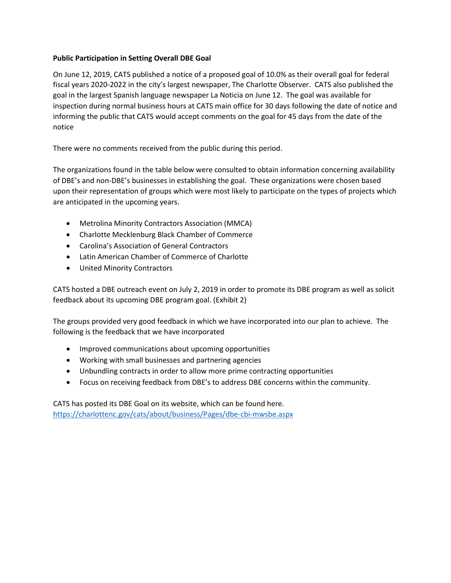# **Public Participation in Setting Overall DBE Goal**

On June 12, 2019, CATS published a notice of a proposed goal of 10.0% as their overall goal for federal fiscal years 2020-2022 in the city's largest newspaper, The Charlotte Observer. CATS also published the goal in the largest Spanish language newspaper La Noticia on June 12. The goal was available for inspection during normal business hours at CATS main office for 30 days following the date of notice and informing the public that CATS would accept comments on the goal for 45 days from the date of the notice

There were no comments received from the public during this period.

The organizations found in the table below were consulted to obtain information concerning availability of DBE's and non-DBE's businesses in establishing the goal. These organizations were chosen based upon their representation of groups which were most likely to participate on the types of projects which are anticipated in the upcoming years.

- Metrolina Minority Contractors Association (MMCA)
- Charlotte Mecklenburg Black Chamber of Commerce
- Carolina's Association of General Contractors
- Latin American Chamber of Commerce of Charlotte
- United Minority Contractors

CATS hosted a DBE outreach event on July 2, 2019 in order to promote its DBE program as well as solicit feedback about its upcoming DBE program goal. (Exhibit 2)

The groups provided very good feedback in which we have incorporated into our plan to achieve. The following is the feedback that we have incorporated

- Improved communications about upcoming opportunities
- Working with small businesses and partnering agencies
- Unbundling contracts in order to allow more prime contracting opportunities
- Focus on receiving feedback from DBE's to address DBE concerns within the community.

CATS has posted its DBE Goal on its website, which can be found here. <https://charlottenc.gov/cats/about/business/Pages/dbe-cbi-mwsbe.aspx>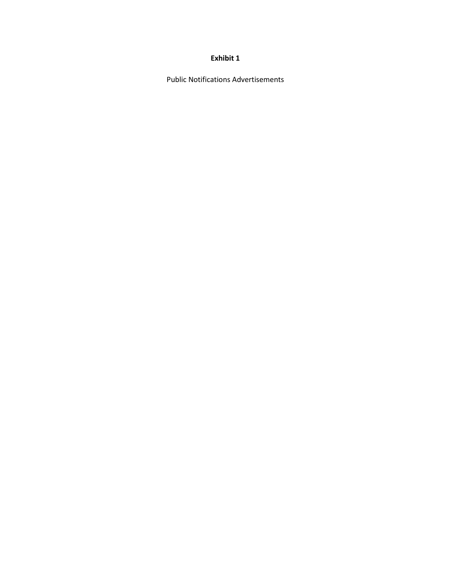### **Exhibit 1**

Public Notifications Advertisements